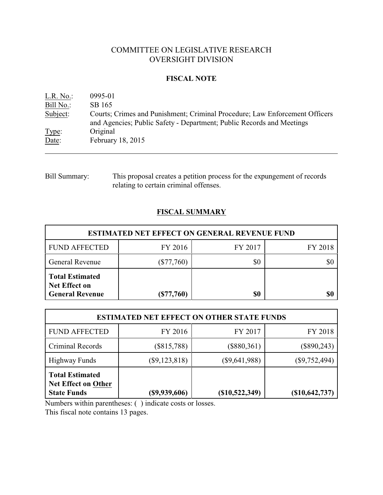# COMMITTEE ON LEGISLATIVE RESEARCH OVERSIGHT DIVISION

## **FISCAL NOTE**

| L.R. No.  | 0995-01                                                                                                                                              |
|-----------|------------------------------------------------------------------------------------------------------------------------------------------------------|
| Bill No.: | SB 165                                                                                                                                               |
| Subject:  | Courts; Crimes and Punishment; Criminal Procedure; Law Enforcement Officers<br>and Agencies; Public Safety - Department; Public Records and Meetings |
| Type:     | Original                                                                                                                                             |
| Date:     | February 18, 2015                                                                                                                                    |

## Bill Summary: This proposal creates a petition process for the expungement of records relating to certain criminal offenses.

## **FISCAL SUMMARY**

| <b>ESTIMATED NET EFFECT ON GENERAL REVENUE FUND</b>                      |              |         |         |  |  |
|--------------------------------------------------------------------------|--------------|---------|---------|--|--|
| <b>FUND AFFECTED</b>                                                     | FY 2016      | FY 2017 | FY 2018 |  |  |
| <b>General Revenue</b>                                                   | $(\$77,760)$ | \$0     |         |  |  |
| <b>Total Estimated</b><br><b>Net Effect on</b><br><b>General Revenue</b> | $(\$77,760)$ | \$0     |         |  |  |

| <b>ESTIMATED NET EFFECT ON OTHER STATE FUNDS</b>                           |                 |                 |                 |  |  |
|----------------------------------------------------------------------------|-----------------|-----------------|-----------------|--|--|
| <b>FUND AFFECTED</b>                                                       | FY 2016         | FY 2017         | FY 2018         |  |  |
| Criminal Records                                                           | $(\$815,788)$   | $(\$880,361)$   | $(\$890,243)$   |  |  |
| <b>Highway Funds</b>                                                       | $(\$9,123,818)$ | $(\$9,641,988)$ | $(\$9,752,494)$ |  |  |
| <b>Total Estimated</b><br><b>Net Effect on Other</b><br><b>State Funds</b> | (\$9,939,606)   | (\$10,522,349)  | (\$10,642,737)  |  |  |

Numbers within parentheses: ( ) indicate costs or losses.

This fiscal note contains 13 pages.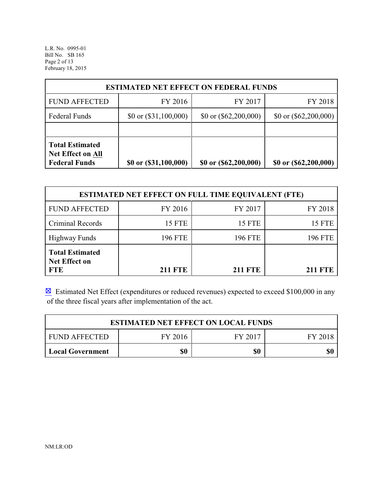L.R. No. 0995-01 Bill No. SB 165 Page 2 of 13 February 18, 2015

| <b>ESTIMATED NET EFFECT ON FEDERAL FUNDS</b>                               |                         |                         |                         |  |  |
|----------------------------------------------------------------------------|-------------------------|-------------------------|-------------------------|--|--|
| <b>FUND AFFECTED</b>                                                       | FY 2016                 | FY 2017                 | FY 2018                 |  |  |
| <b>Federal Funds</b>                                                       | \$0 or $(\$31,100,000)$ | \$0 or $(\$62,200,000)$ | \$0 or $(\$62,200,000)$ |  |  |
|                                                                            |                         |                         |                         |  |  |
| <b>Total Estimated</b><br><b>Net Effect on All</b><br><b>Federal Funds</b> | \$0 or (\$31,100,000)   | \$0 or (\$62,200,000)   | \$0 or (\$62,200,000)   |  |  |

| <b>ESTIMATED NET EFFECT ON FULL TIME EQUIVALENT (FTE)</b>    |                |                |                |  |  |
|--------------------------------------------------------------|----------------|----------------|----------------|--|--|
| <b>FUND AFFECTED</b>                                         | FY 2016        | FY 2017        | FY 2018        |  |  |
| Criminal Records                                             | <b>15 FTE</b>  | <b>15 FTE</b>  | <b>15 FTE</b>  |  |  |
| <b>Highway Funds</b>                                         | 196 FTE        | <b>196 FTE</b> | <b>196 FTE</b> |  |  |
| <b>Total Estimated</b><br><b>Net Effect on</b><br><b>FTE</b> | <b>211 FTE</b> | <b>211 FTE</b> | <b>211 FTE</b> |  |  |

 $\boxtimes$  Estimated Net Effect (expenditures or reduced revenues) expected to exceed \$100,000 in any of the three fiscal years after implementation of the act.

| <b>ESTIMATED NET EFFECT ON LOCAL FUNDS</b>            |  |  |  |  |  |
|-------------------------------------------------------|--|--|--|--|--|
| FY 2017<br><b>FUND AFFECTED</b><br>FY 2016<br>FY 2018 |  |  |  |  |  |
| \$0<br>\$0<br>\$0<br>  Local Government               |  |  |  |  |  |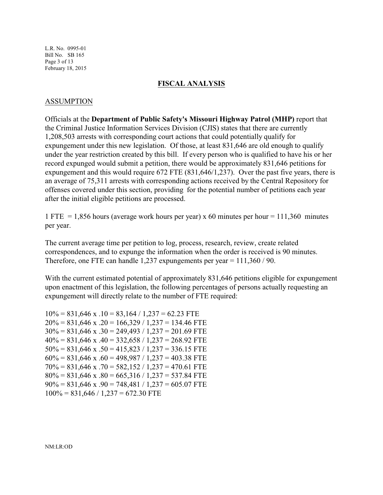L.R. No. 0995-01 Bill No. SB 165 Page 3 of 13 February 18, 2015

#### **FISCAL ANALYSIS**

#### ASSUMPTION

Officials at the **Department of Public Safety's Missouri Highway Patrol (MHP)** report that the Criminal Justice Information Services Division (CJIS) states that there are currently 1,208,503 arrests with corresponding court actions that could potentially qualify for expungement under this new legislation. Of those, at least 831,646 are old enough to qualify under the year restriction created by this bill. If every person who is qualified to have his or her record expunged would submit a petition, there would be approximately 831,646 petitions for expungement and this would require 672 FTE (831,646/1,237). Over the past five years, there is an average of 75,311 arrests with corresponding actions received by the Central Repository for offenses covered under this section, providing for the potential number of petitions each year after the initial eligible petitions are processed.

1 FTE = 1,856 hours (average work hours per year) x 60 minutes per hour = 111,360 minutes per year.

The current average time per petition to log, process, research, review, create related correspondences, and to expunge the information when the order is received is 90 minutes. Therefore, one FTE can handle 1,237 expungements per year = 111,360 / 90.

With the current estimated potential of approximately 831,646 petitions eligible for expungement upon enactment of this legislation, the following percentages of persons actually requesting an expungement will directly relate to the number of FTE required:

 $10\% = 831,646$  x  $.10 = 83,164 / 1,237 = 62.23$  FTE  $20\% = 831,646$  x  $.20 = 166,329 / 1,237 = 134.46$  FTE  $30\% = 831,646$  x  $.30 = 249,493 / 1,237 = 201.69$  FTE  $40\% = 831,646$  x  $.40 = 332,658 / 1,237 = 268.92$  FTE  $50\% = 831,646$  x  $.50 = 415,823 / 1,237 = 336.15$  FTE  $60\% = 831,646$  x  $.60 = 498,987 / 1,237 = 403.38$  FTE  $70\% = 831,646$  x  $.70 = 582,152 / 1,237 = 470.61$  FTE  $80\% = 831,646$  x  $.80 = 665,316 / 1,237 = 537.84$  FTE  $90\% = 831,646$  x  $.90 = 748,481 / 1,237 = 605.07$  FTE  $100\% = 831,646 / 1,237 = 672.30$  FTE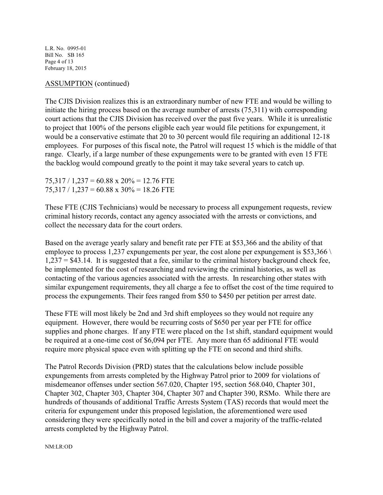L.R. No. 0995-01 Bill No. SB 165 Page 4 of 13 February 18, 2015

### ASSUMPTION (continued)

The CJIS Division realizes this is an extraordinary number of new FTE and would be willing to initiate the hiring process based on the average number of arrests (75,311) with corresponding court actions that the CJIS Division has received over the past five years. While it is unrealistic to project that 100% of the persons eligible each year would file petitions for expungement, it would be a conservative estimate that 20 to 30 percent would file requiring an additional 12-18 employees. For purposes of this fiscal note, the Patrol will request 15 which is the middle of that range. Clearly, if a large number of these expungements were to be granted with even 15 FTE the backlog would compound greatly to the point it may take several years to catch up.

75,317 / 1,237 = 60.88 x 20% = 12.76 FTE  $75,317 / 1,237 = 60.88 \times 30\% = 18.26$  FTE

These FTE (CJIS Technicians) would be necessary to process all expungement requests, review criminal history records, contact any agency associated with the arrests or convictions, and collect the necessary data for the court orders.

Based on the average yearly salary and benefit rate per FTE at \$53,366 and the ability of that employee to process 1,237 expungements per year, the cost alone per expungement is \$53,366 \  $1,237 = $43.14$ . It is suggested that a fee, similar to the criminal history background check fee, be implemented for the cost of researching and reviewing the criminal histories, as well as contacting of the various agencies associated with the arrests. In researching other states with similar expungement requirements, they all charge a fee to offset the cost of the time required to process the expungements. Their fees ranged from \$50 to \$450 per petition per arrest date.

These FTE will most likely be 2nd and 3rd shift employees so they would not require any equipment. However, there would be recurring costs of \$650 per year per FTE for office supplies and phone charges. If any FTE were placed on the 1st shift, standard equipment would be required at a one-time cost of \$6,094 per FTE. Any more than 65 additional FTE would require more physical space even with splitting up the FTE on second and third shifts.

The Patrol Records Division (PRD) states that the calculations below include possible expungements from arrests completed by the Highway Patrol prior to 2009 for violations of misdemeanor offenses under section 567.020, Chapter 195, section 568.040, Chapter 301, Chapter 302, Chapter 303, Chapter 304, Chapter 307 and Chapter 390, RSMo. While there are hundreds of thousands of additional Traffic Arrests System (TAS) records that would meet the criteria for expungement under this proposed legislation, the aforementioned were used considering they were specifically noted in the bill and cover a majority of the traffic-related arrests completed by the Highway Patrol.

NM:LR:OD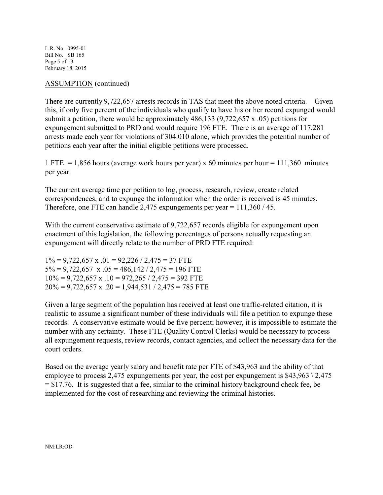L.R. No. 0995-01 Bill No. SB 165 Page 5 of 13 February 18, 2015

### ASSUMPTION (continued)

There are currently 9,722,657 arrests records in TAS that meet the above noted criteria. Given this, if only five percent of the individuals who qualify to have his or her record expunged would submit a petition, there would be approximately 486,133 (9,722,657 x .05) petitions for expungement submitted to PRD and would require 196 FTE. There is an average of 117,281 arrests made each year for violations of 304.010 alone, which provides the potential number of petitions each year after the initial eligible petitions were processed.

1 FTE  $= 1,856$  hours (average work hours per year) x 60 minutes per hour  $= 111,360$  minutes per year.

The current average time per petition to log, process, research, review, create related correspondences, and to expunge the information when the order is received is 45 minutes. Therefore, one FTE can handle 2,475 expungements per year = 111,360 / 45.

With the current conservative estimate of 9,722,657 records eligible for expungement upon enactment of this legislation, the following percentages of persons actually requesting an expungement will directly relate to the number of PRD FTE required:

 $1\% = 9,722,657 \times 0.01 = 92,226 / 2,475 = 37$  FTE  $5\% = 9,722,657$  x  $.05 = 486,142 / 2,475 = 196$  FTE  $10\% = 9{,}722{,}657$  x  $.10 = 972{,}265 / 2{,}475 = 392$  FTE  $20\% = 9{,}722{,}657$  x  $.20 = 1{,}944{,}531 / 2{,}475 = 785$  FTE

Given a large segment of the population has received at least one traffic-related citation, it is realistic to assume a significant number of these individuals will file a petition to expunge these records. A conservative estimate would be five percent; however, it is impossible to estimate the number with any certainty. These FTE (Quality Control Clerks) would be necessary to process all expungement requests, review records, contact agencies, and collect the necessary data for the court orders.

Based on the average yearly salary and benefit rate per FTE of \$43,963 and the ability of that employee to process 2,475 expungements per year, the cost per expungement is  $$43,963 \setminus 2,475$  $= $17.76$ . It is suggested that a fee, similar to the criminal history background check fee, be implemented for the cost of researching and reviewing the criminal histories.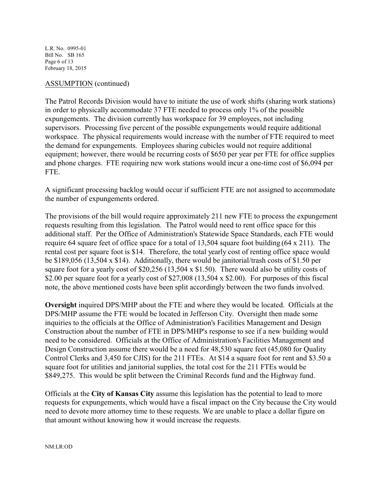L.R. No. 0995-01 Bill No. SB 165 Page 6 of 13 February 18, 2015

#### ASSUMPTION (continued)

The Patrol Records Division would have to initiate the use of work shifts (sharing work stations) in order to physically accommodate 37 FTE needed to process only 1% of the possible expungements. The division currently has workspace for 39 employees, not including supervisors. Processing five percent of the possible expungements would require additional workspace. The physical requirements would increase with the number of FTE required to meet the demand for expungements. Employees sharing cubicles would not require additional equipment; however, there would be recurring costs of \$650 per year per FTE for office supplies and phone charges. FTE requiring new work stations would incur a one-time cost of \$6,094 per FTE.

A significant processing backlog would occur if sufficient FTE are not assigned to accommodate the number of expungements ordered.

The provisions of the bill would require approximately 211 new FTE to process the expungement requests resulting from this legislation. The Patrol would need to rent office space for this additional staff. Per the Office of Administration's Statewide Space Standards, each FTE would require 64 square feet of office space for a total of 13,504 square foot building (64 x 211). The rental cost per square foot is \$14. Therefore, the total yearly cost of renting office space would be \$189,056 (13,504 x \$14). Additionally, there would be janitorial/trash costs of \$1.50 per square foot for a yearly cost of \$20,256 (13,504 x \$1.50). There would also be utility costs of \$2.00 per square foot for a yearly cost of \$27,008 (13,504 x \$2.00). For purposes of this fiscal note, the above mentioned costs have been split accordingly between the two funds involved.

**Oversight** inquired DPS/MHP about the FTE and where they would be located. Officials at the DPS/MHP assume the FTE would be located in Jefferson City. Oversight then made some inquiries to the officials at the Office of Administration's Facilities Management and Design Construction about the number of FTE in DPS/MHP's response to see if a new building would need to be considered. Officials at the Office of Administration's Facilities Management and Design Construction assume there would be a need for 48,530 square feet (45,080 for Quality Control Clerks and 3,450 for CJIS) for the 211 FTEs. At \$14 a square foot for rent and \$3.50 a square foot for utilities and janitorial supplies, the total cost for the 211 FTEs would be \$849,275. This would be split between the Criminal Records fund and the Highway fund.

Officials at the **City of Kansas City** assume this legislation has the potential to lead to more requests for expungements, which would have a fiscal impact on the City because the City would need to devote more attorney time to these requests. We are unable to place a dollar figure on that amount without knowing how it would increase the requests.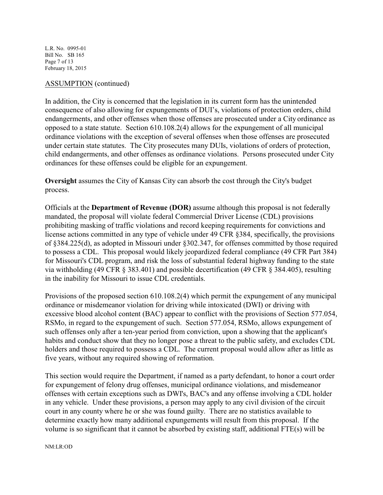L.R. No. 0995-01 Bill No. SB 165 Page 7 of 13 February 18, 2015

### ASSUMPTION (continued)

In addition, the City is concerned that the legislation in its current form has the unintended consequence of also allowing for expungements of DUI's, violations of protection orders, child endangerments, and other offenses when those offenses are prosecuted under a City ordinance as opposed to a state statute. Section 610.108.2(4) allows for the expungement of all municipal ordinance violations with the exception of several offenses when those offenses are prosecuted under certain state statutes. The City prosecutes many DUIs, violations of orders of protection, child endangerments, and other offenses as ordinance violations. Persons prosecuted under City ordinances for these offenses could be eligible for an expungement.

**Oversight** assumes the City of Kansas City can absorb the cost through the City's budget process.

Officials at the **Department of Revenue (DOR)** assume although this proposal is not federally mandated, the proposal will violate federal Commercial Driver License (CDL) provisions prohibiting masking of traffic violations and record keeping requirements for convictions and license actions committed in any type of vehicle under 49 CFR §384, specifically, the provisions of §384.225(d), as adopted in Missouri under §302.347, for offenses committed by those required to possess a CDL. This proposal would likely jeopardized federal compliance (49 CFR Part 384) for Missouri's CDL program, and risk the loss of substantial federal highway funding to the state via withholding (49 CFR § 383.401) and possible decertification (49 CFR § 384.405), resulting in the inability for Missouri to issue CDL credentials.

Provisions of the proposed section 610.108.2(4) which permit the expungement of any municipal ordinance or misdemeanor violation for driving while intoxicated (DWI) or driving with excessive blood alcohol content (BAC) appear to conflict with the provisions of Section 577.054, RSMo, in regard to the expungement of such. Section 577.054, RSMo, allows expungement of such offenses only after a ten-year period from conviction, upon a showing that the applicant's habits and conduct show that they no longer pose a threat to the public safety, and excludes CDL holders and those required to possess a CDL. The current proposal would allow after as little as five years, without any required showing of reformation.

This section would require the Department, if named as a party defendant, to honor a court order for expungement of felony drug offenses, municipal ordinance violations, and misdemeanor offenses with certain exceptions such as DWI's, BAC's and any offense involving a CDL holder in any vehicle. Under these provisions, a person may apply to any civil division of the circuit court in any county where he or she was found guilty. There are no statistics available to determine exactly how many additional expungements will result from this proposal. If the volume is so significant that it cannot be absorbed by existing staff, additional FTE(s) will be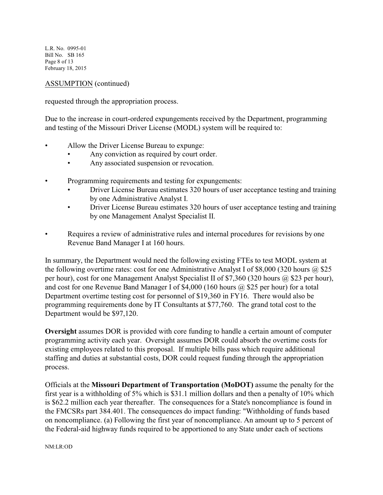L.R. No. 0995-01 Bill No. SB 165 Page 8 of 13 February 18, 2015

ASSUMPTION (continued)

requested through the appropriation process.

Due to the increase in court-ordered expungements received by the Department, programming and testing of the Missouri Driver License (MODL) system will be required to:

- Allow the Driver License Bureau to expunge:
	- Any conviction as required by court order.
	- Any associated suspension or revocation.
- Programming requirements and testing for expungements:
	- Driver License Bureau estimates 320 hours of user acceptance testing and training by one Administrative Analyst I.
	- Driver License Bureau estimates 320 hours of user acceptance testing and training by one Management Analyst Specialist II.
- Requires a review of administrative rules and internal procedures for revisions by one Revenue Band Manager I at 160 hours.

In summary, the Department would need the following existing FTEs to test MODL system at the following overtime rates: cost for one Administrative Analyst I of \$8,000 (320 hours  $\omega$  \$25 per hour), cost for one Management Analyst Specialist II of \$7,360 (320 hours @ \$23 per hour), and cost for one Revenue Band Manager I of \$4,000 (160 hours  $\omega$  \$25 per hour) for a total Department overtime testing cost for personnel of \$19,360 in FY16. There would also be programming requirements done by IT Consultants at \$77,760. The grand total cost to the Department would be \$97,120.

**Oversight** assumes DOR is provided with core funding to handle a certain amount of computer programming activity each year. Oversight assumes DOR could absorb the overtime costs for existing employees related to this proposal. If multiple bills pass which require additional staffing and duties at substantial costs, DOR could request funding through the appropriation process.

Officials at the **Missouri Department of Transportation (MoDOT)** assume the penalty for the first year is a withholding of 5% which is \$31.1 million dollars and then a penalty of 10% which is \$62.2 million each year thereafter. The consequences for a State's noncompliance is found in the FMCSRs part 384.401. The consequences do impact funding: "Withholding of funds based on noncompliance. (a) Following the first year of noncompliance. An amount up to 5 percent of the Federal-aid highway funds required to be apportioned to any State under each of sections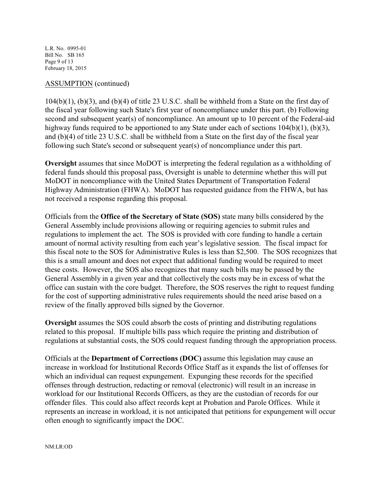L.R. No. 0995-01 Bill No. SB 165 Page 9 of 13 February 18, 2015

#### ASSUMPTION (continued)

104(b)(1), (b)(3), and (b)(4) of title 23 U.S.C. shall be withheld from a State on the first day of the fiscal year following such State's first year of noncompliance under this part. (b) Following second and subsequent year(s) of noncompliance. An amount up to 10 percent of the Federal-aid highway funds required to be apportioned to any State under each of sections  $104(b)(1)$ ,  $(b)(3)$ , and (b)(4) of title 23 U.S.C. shall be withheld from a State on the first day of the fiscal year following such State's second or subsequent year(s) of noncompliance under this part.

**Oversight** assumes that since MoDOT is interpreting the federal regulation as a withholding of federal funds should this proposal pass, Oversight is unable to determine whether this will put MoDOT in noncompliance with the United States Department of Transportation Federal Highway Administration (FHWA). MoDOT has requested guidance from the FHWA, but has not received a response regarding this proposal.

Officials from the **Office of the Secretary of State (SOS)** state many bills considered by the General Assembly include provisions allowing or requiring agencies to submit rules and regulations to implement the act. The SOS is provided with core funding to handle a certain amount of normal activity resulting from each year's legislative session. The fiscal impact for this fiscal note to the SOS for Administrative Rules is less than \$2,500. The SOS recognizes that this is a small amount and does not expect that additional funding would be required to meet these costs. However, the SOS also recognizes that many such bills may be passed by the General Assembly in a given year and that collectively the costs may be in excess of what the office can sustain with the core budget. Therefore, the SOS reserves the right to request funding for the cost of supporting administrative rules requirements should the need arise based on a review of the finally approved bills signed by the Governor.

**Oversight** assumes the SOS could absorb the costs of printing and distributing regulations related to this proposal. If multiple bills pass which require the printing and distribution of regulations at substantial costs, the SOS could request funding through the appropriation process.

Officials at the **Department of Corrections (DOC)** assume this legislation may cause an increase in workload for Institutional Records Office Staff as it expands the list of offenses for which an individual can request expungement. Expunging these records for the specified offenses through destruction, redacting or removal (electronic) will result in an increase in workload for our Institutional Records Officers, as they are the custodian of records for our offender files. This could also affect records kept at Probation and Parole Offices. While it represents an increase in workload, it is not anticipated that petitions for expungement will occur often enough to significantly impact the DOC.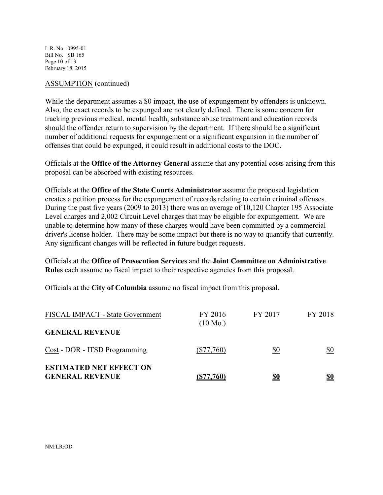L.R. No. 0995-01 Bill No. SB 165 Page 10 of 13 February 18, 2015

#### ASSUMPTION (continued)

While the department assumes a \$0 impact, the use of expungement by offenders is unknown. Also, the exact records to be expunged are not clearly defined. There is some concern for tracking previous medical, mental health, substance abuse treatment and education records should the offender return to supervision by the department. If there should be a significant number of additional requests for expungement or a significant expansion in the number of offenses that could be expunged, it could result in additional costs to the DOC.

Officials at the **Office of the Attorney General** assume that any potential costs arising from this proposal can be absorbed with existing resources.

Officials at the **Office of the State Courts Administrator** assume the proposed legislation creates a petition process for the expungement of records relating to certain criminal offenses. During the past five years (2009 to 2013) there was an average of 10,120 Chapter 195 Associate Level charges and 2,002 Circuit Level charges that may be eligible for expungement. We are unable to determine how many of these charges would have been committed by a commercial driver's license holder. There may be some impact but there is no way to quantify that currently. Any significant changes will be reflected in future budget requests.

Officials at the **Office of Prosecution Services** and the **Joint Committee on Administrative Rules** each assume no fiscal impact to their respective agencies from this proposal.

Officials at the **City of Columbia** assume no fiscal impact from this proposal.

| FISCAL IMPACT - State Government                         | FY 2016<br>$(10 \text{ Mo.})$ | FY 2017 | FY 2018    |
|----------------------------------------------------------|-------------------------------|---------|------------|
| <b>GENERAL REVENUE</b>                                   |                               |         |            |
| Cost - DOR - ITSD Programming                            | $(\$77,760)$                  | \$0     | \$0        |
| <b>ESTIMATED NET EFFECT ON</b><br><b>GENERAL REVENUE</b> | (S77,760)                     |         | <u>\$0</u> |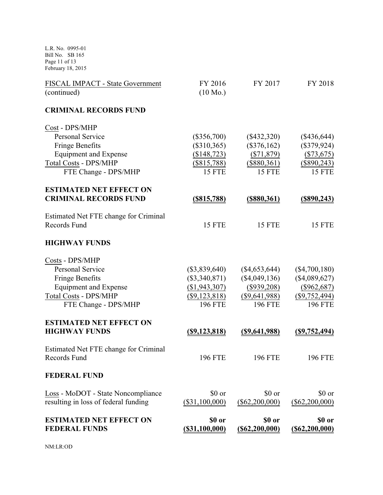L.R. No. 0995-01 Bill No. SB 165 Page 11 of 13 February 18, 2015

| <b>ESTIMATED NET EFFECT ON</b><br><b>FEDERAL FUNDS</b>                     | \$0 or<br>$($ \$31,100,000)        | \$0 or<br>$($ \$62,200,000)        | \$0 or<br>$($ \$62,200,000)        |
|----------------------------------------------------------------------------|------------------------------------|------------------------------------|------------------------------------|
| Loss - MoDOT - State Noncompliance<br>resulting in loss of federal funding | \$0 or<br>(\$31,100,000)           | \$0 or<br>$(\$62,200,000)$         | \$0 or<br>$(\$62,200,000)$         |
| <b>FEDERAL FUND</b>                                                        |                                    |                                    |                                    |
| Estimated Net FTE change for Criminal<br>Records Fund                      | <b>196 FTE</b>                     | <b>196 FTE</b>                     | <b>196 FTE</b>                     |
| <b>ESTIMATED NET EFFECT ON</b><br><b>HIGHWAY FUNDS</b>                     | <u>(\$9,123,818)</u>               | $($ \$9,641,988)                   | $($ \$9,752,494)                   |
| <b>Total Costs - DPS/MHP</b><br>FTE Change - DPS/MHP                       | $(\$9,123,818)$<br><b>196 FTE</b>  | $(\$9,641,988)$<br><b>196 FTE</b>  | $($ \$9,752,494)<br><b>196 FTE</b> |
| <b>Equipment and Expense</b>                                               | (\$1,943,307)                      | $($ \$939,208)                     | $(\$962,687)$                      |
| Costs - DPS/MHP<br><b>Personal Service</b><br><b>Fringe Benefits</b>       | $(\$3,839,640)$<br>$(\$3,340,871)$ | $(\$4,653,644)$<br>$(\$4,049,136)$ | $(\$4,700,180)$<br>$(\$4,089,627)$ |
| <b>HIGHWAY FUNDS</b>                                                       |                                    |                                    |                                    |
| Estimated Net FTE change for Criminal<br>Records Fund                      | <b>15 FTE</b>                      | <b>15 FTE</b>                      | <b>15 FTE</b>                      |
| <b>ESTIMATED NET EFFECT ON</b><br><b>CRIMINAL RECORDS FUND</b>             | <u>(\$815,788)</u>                 | <u>(\$880,361)</u>                 | <u>(\$890,243)</u>                 |
| FTE Change - DPS/MHP                                                       | <b>15 FTE</b>                      | <b>15 FTE</b>                      | <b>15 FTE</b>                      |
| <b>Total Costs - DPS/MHP</b>                                               | $(\$815,788)$                      | (\$880,361)                        | $(\$890,243)$                      |
| Fringe Benefits<br><b>Equipment and Expense</b>                            | $(\$310,365)$<br>(\$148, 723)      | $(\$376,162)$<br>$(\$71,879)$      | $(\$379,924)$<br>$(\$73,675)$      |
| Cost - DPS/MHP<br><b>Personal Service</b>                                  | $(\$356,700)$                      | $(\$432,320)$                      | $(\$436,644)$                      |
| <b>CRIMINAL RECORDS FUND</b>                                               |                                    |                                    |                                    |
| (continued)                                                                | $(10 \text{ Mo.})$                 |                                    |                                    |
| FISCAL IMPACT - State Government                                           | FY 2016                            | FY 2017                            | FY 2018                            |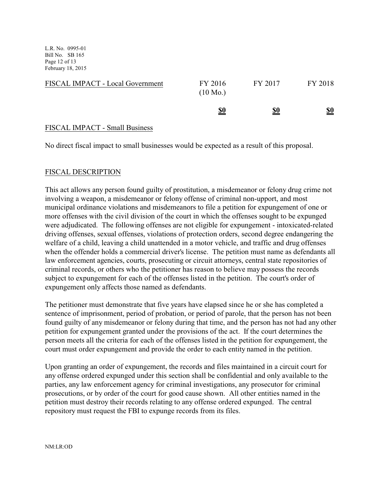L.R. No. 0995-01 Bill No. SB 165 Page 12 of 13 February 18, 2015

| FISCAL IMPACT - Local Government | FY 2016<br>$(10 \text{ Mo.})$ | FY 2017    | FY 2018    |
|----------------------------------|-------------------------------|------------|------------|
|                                  | <u>\$0</u>                    | <u>\$0</u> | <u>\$0</u> |

## FISCAL IMPACT - Small Business

No direct fiscal impact to small businesses would be expected as a result of this proposal.

## FISCAL DESCRIPTION

This act allows any person found guilty of prostitution, a misdemeanor or felony drug crime not involving a weapon, a misdemeanor or felony offense of criminal non-upport, and most municipal ordinance violations and misdemeanors to file a petition for expungement of one or more offenses with the civil division of the court in which the offenses sought to be expunged were adjudicated. The following offenses are not eligible for expungement - intoxicated-related driving offenses, sexual offenses, violations of protection orders, second degree endangering the welfare of a child, leaving a child unattended in a motor vehicle, and traffic and drug offenses when the offender holds a commercial driver's license. The petition must name as defendants all law enforcement agencies, courts, prosecuting or circuit attorneys, central state repositories of criminal records, or others who the petitioner has reason to believe may possess the records subject to expungement for each of the offenses listed in the petition. The court's order of expungement only affects those named as defendants.

The petitioner must demonstrate that five years have elapsed since he or she has completed a sentence of imprisonment, period of probation, or period of parole, that the person has not been found guilty of any misdemeanor or felony during that time, and the person has not had any other petition for expungement granted under the provisions of the act. If the court determines the person meets all the criteria for each of the offenses listed in the petition for expungement, the court must order expungement and provide the order to each entity named in the petition.

Upon granting an order of expungement, the records and files maintained in a circuit court for any offense ordered expunged under this section shall be confidential and only available to the parties, any law enforcement agency for criminal investigations, any prosecutor for criminal prosecutions, or by order of the court for good cause shown. All other entities named in the petition must destroy their records relating to any offense ordered expunged. The central repository must request the FBI to expunge records from its files.